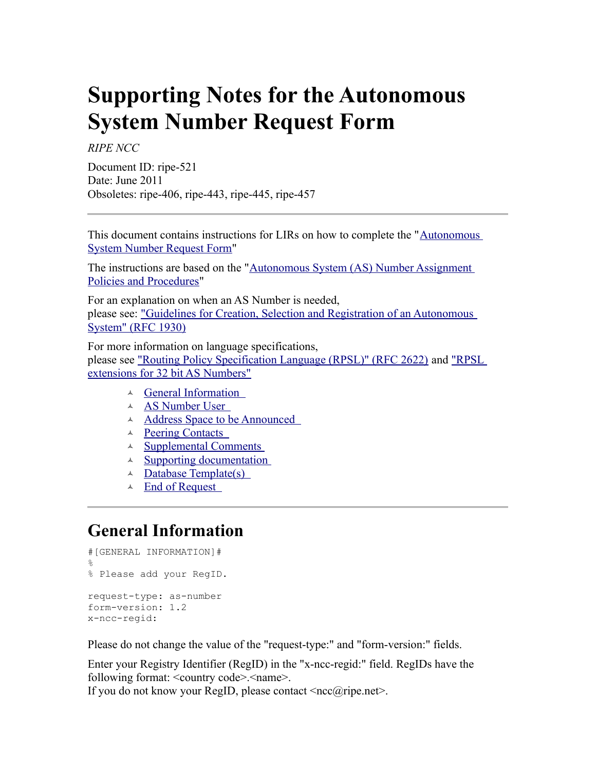# **Supporting Notes for the Autonomous System Number Request Form**

*RIPE NCC*

Document ID: ripe-521 Date: June 2011 Obsoletes: ripe-406, ripe-443, ripe-445, ripe-457

This document contains instructions for LIRs on how to complete the ["Autonomous](http://www.ripe.net/ripe/docs/asnrequestform) [System Number Request Form"](http://www.ripe.net/ripe/docs/asnrequestform)

The instructions are based on the "[Autonomous System \(AS\) Number Assignment](http://www.ripe.net/ripe/docs/asn-assignment) [Policies and Procedures"](http://www.ripe.net/ripe/docs/asn-assignment)

For an explanation on when an AS Number is needed, please see: ["Guidelines for Creation, Selection and Registration of an Autonomous](ftp://ftp.ripe.net/rfc/rfc1930.txt) [System" \(RFC 1930\)](ftp://ftp.ripe.net/rfc/rfc1930.txt)

For more information on language specifications, please see ["Routing Policy Specification Language \(RPSL\)" \(RFC 2622\)](ftp://ftp.ripe.net/rfc/rfc2622.txt) and ["RPSL](http://tools.ietf.org/html/draft-uijterwaal-rpsl-4byteas-ext-03) [extensions for 32 bit AS Numbers"](http://tools.ietf.org/html/draft-uijterwaal-rpsl-4byteas-ext-03)

- [General Information](#page-0-0)
- [AS Number User](#page-1-1)
- A Address Space to be Announced
- $\triangle$  Peering Contacts
- $\triangle$  [Supplemental Comments](#page-2-1)
- $\triangle$  [Supporting documentation](#page-2-0)
- $\triangle$  Database Template(s)
- $\triangle$  End of Request

# <span id="page-0-0"></span>**General Information**

```
#[GENERAL INFORMATION]#
\mathsf{Q}% Please add your RegID.
request-type: as-number
form-version: 1.2
x-ncc-regid:
```
Please do not change the value of the "request-type:" and "form-version:" fields.

Enter your Registry Identifier (RegID) in the "x-ncc-regid:" field. RegIDs have the following format: < country code >. < name >.

If you do not know your RegID, please contact  $\langle ncc\hat{a}|\hat{c}\rangle$  net  $\geq$ .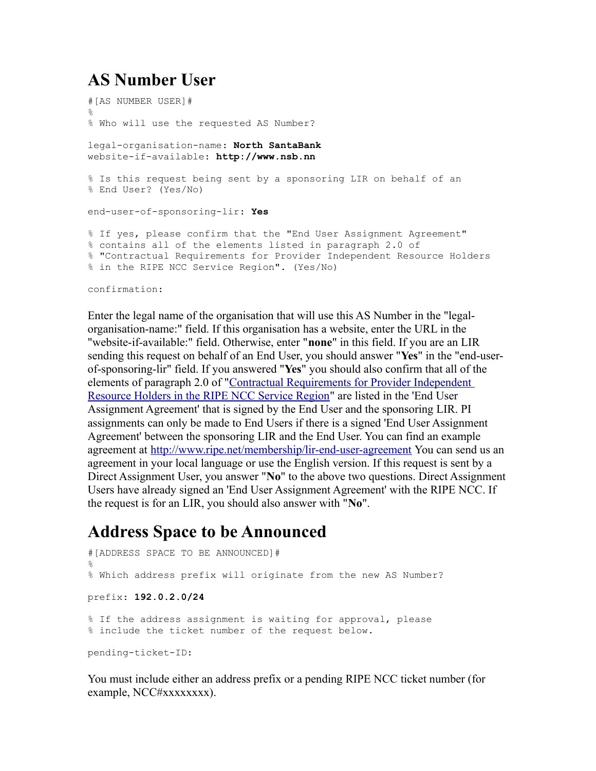#### <span id="page-1-1"></span>**AS Number User**

```
#[AS NUMBER USER]#
\circ% Who will use the requested AS Number?
legal-organisation-name: North SantaBank
website-if-available: http://www.nsb.nn 
% Is this request being sent by a sponsoring LIR on behalf of an 
% End User? (Yes/No)
end-user-of-sponsoring-lir: Yes
% If yes, please confirm that the "End User Assignment Agreement" 
% contains all of the elements listed in paragraph 2.0 of 
% "Contractual Requirements for Provider Independent Resource Holders 
% in the RIPE NCC Service Region". (Yes/No)
```
confirmation:

Enter the legal name of the organisation that will use this AS Number in the "legalorganisation-name:" field. If this organisation has a website, enter the URL in the "website-if-available:" field. Otherwise, enter "**none**" in this field. If you are an LIR sending this request on behalf of an End User, you should answer "**Yes**" in the "end-userof-sponsoring-lir" field. If you answered "**Yes**" you should also confirm that all of the elements of paragraph 2.0 of ["Contractual Requirements for Provider Independent](http://www.ripe.net/ripe/docs/contract-req) [Resource Holders in the RIPE NCC Service Region"](http://www.ripe.net/ripe/docs/contract-req) are listed in the 'End User Assignment Agreement' that is signed by the End User and the sponsoring LIR. PI assignments can only be made to End Users if there is a signed 'End User Assignment Agreement' between the sponsoring LIR and the End User. You can find an example agreement at [http://www.ripe.net/membership/lir-end-user-agreement](https://www.ripe.net/membership/lir-end-user-agreement) You can send us an agreement in your local language or use the English version. If this request is sent by a Direct Assignment User, you answer "**No**" to the above two questions. Direct Assignment Users have already signed an 'End User Assignment Agreement' with the RIPE NCC. If the request is for an LIR, you should also answer with "**No**".

#### <span id="page-1-0"></span>**Address Space to be Announced**

```
#[ADDRESS SPACE TO BE ANNOUNCED]#
%
% Which address prefix will originate from the new AS Number? 
prefix: 192.0.2.0/24
% If the address assignment is waiting for approval, please
% include the ticket number of the request below.
pending-ticket-ID:
```
You must include either an address prefix or a pending RIPE NCC ticket number (for example, NCC#xxxxxxxx).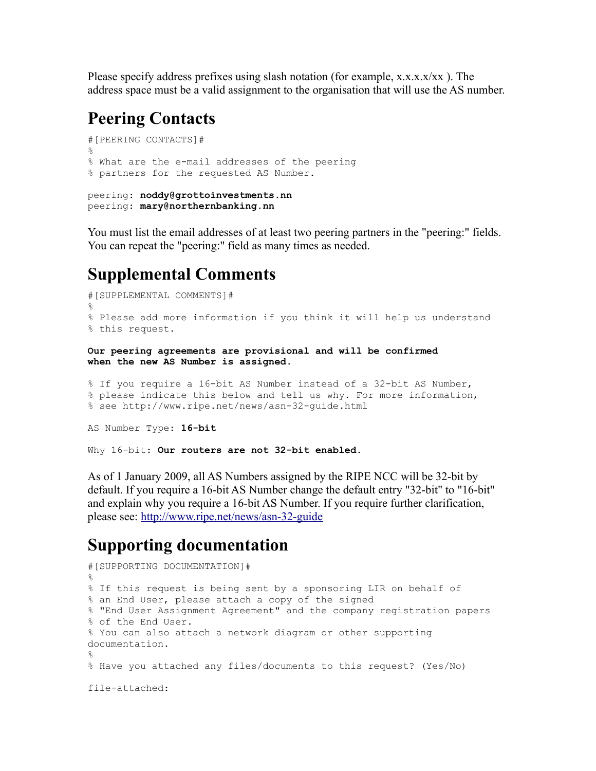Please specify address prefixes using slash notation (for example,  $x.x.x.x/xx$ ). The address space must be a valid assignment to the organisation that will use the AS number.

#### <span id="page-2-2"></span>**Peering Contacts**

```
#[PEERING CONTACTS]#
\approx% What are the e-mail addresses of the peering
% partners for the requested AS Number.
peering: noddy@grottoinvestments.nn
peering: mary@northernbanking.nn
```
You must list the email addresses of at least two peering partners in the "peering:" fields. You can repeat the "peering:" field as many times as needed.

#### <span id="page-2-1"></span>**Supplemental Comments**

```
#[SUPPLEMENTAL COMMENTS]#
%
% Please add more information if you think it will help us understand 
% this request.
Our peering agreements are provisional and will be confirmed
when the new AS Number is assigned.
% If you require a 16-bit AS Number instead of a 32-bit AS Number,
```

```
% please indicate this below and tell us why. For more information,
% see http://www.ripe.net/news/asn-32-guide.html
```

```
AS Number Type: 16-bit
```
Why 16-bit: **Our routers are not 32-bit enabled.**

As of 1 January 2009, all AS Numbers assigned by the RIPE NCC will be 32-bit by default. If you require a 16-bit AS Number change the default entry "32-bit" to "16-bit" and explain why you require a 16-bit AS Number. If you require further clarification, please see:<http://www.ripe.net/news/asn-32-guide>

#### <span id="page-2-0"></span>**Supporting documentation**

```
#[SUPPORTING DOCUMENTATION]#
\circ% If this request is being sent by a sponsoring LIR on behalf of 
% an End User, please attach a copy of the signed 
% "End User Assignment Agreement" and the company registration papers 
% of the End User.
% You can also attach a network diagram or other supporting
documentation.
%
% Have you attached any files/documents to this request? (Yes/No)
file-attached:
```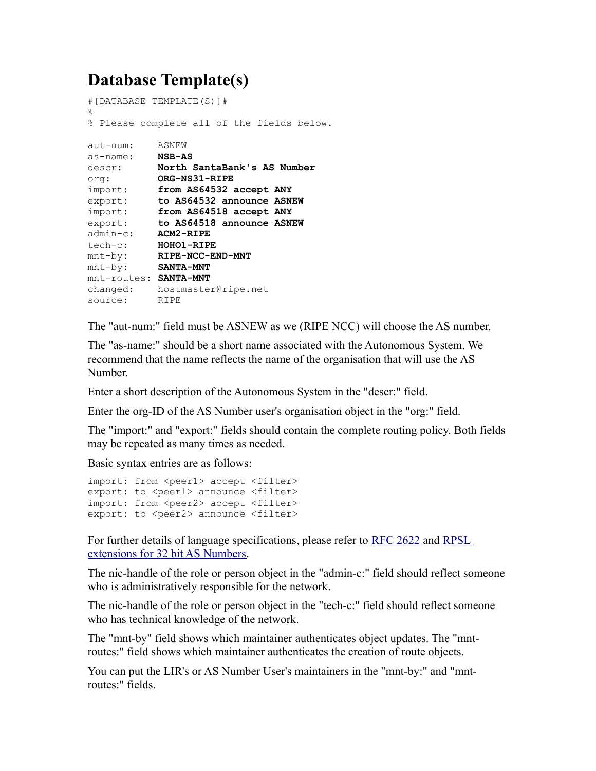### <span id="page-3-0"></span>**Database Template(s)**

```
#[DATABASE TEMPLATE(S)]#
\approx% Please complete all of the fields below.
aut-num: ASNEW
as-name: NSB-AS
descr: North SantaBank's AS Number
org: ORG-NS31-RIPE
import: from AS64532 accept ANY
export: to AS64532 announce ASNEW
import: from AS64518 accept ANY
export: to AS64518 announce ASNEW
admin-c: ACM2-RIPE
tech-c: HOHO1-RIPE
mnt-by: RIPE-NCC-END-MNT
mnt-by: SANTA-MNT 
mnt-routes: SANTA-MNT
changed: hostmaster@ripe.net
source: RIPE
```
The "aut-num:" field must be ASNEW as we (RIPE NCC) will choose the AS number.

The "as-name:" should be a short name associated with the Autonomous System. We recommend that the name reflects the name of the organisation that will use the AS Number.

Enter a short description of the Autonomous System in the "descr:" field.

Enter the org-ID of the AS Number user's organisation object in the "org:" field.

The "import:" and "export:" fields should contain the complete routing policy. Both fields may be repeated as many times as needed.

Basic syntax entries are as follows:

```
import: from <peer1> accept <filter>
export: to <peer1> announce <filter>
import: from <peer2> accept <filter>
export: to <peer2> announce <filter>
```
For further details of language specifications, please refer to [RFC 2622](ftp://ftp.ripe.net/rfc/rfc2622.txt) and [RPSL](http://tools.ietf.org/html/draft-uijterwaal-rpsl-4byteas-ext-03) [extensions for 32 bit AS Numbers.](http://tools.ietf.org/html/draft-uijterwaal-rpsl-4byteas-ext-03)

The nic-handle of the role or person object in the "admin-c:" field should reflect someone who is administratively responsible for the network.

The nic-handle of the role or person object in the "tech-c:" field should reflect someone who has technical knowledge of the network.

The "mnt-by" field shows which maintainer authenticates object updates. The "mntroutes:" field shows which maintainer authenticates the creation of route objects.

You can put the LIR's or AS Number User's maintainers in the "mnt-by:" and "mntroutes:" fields.